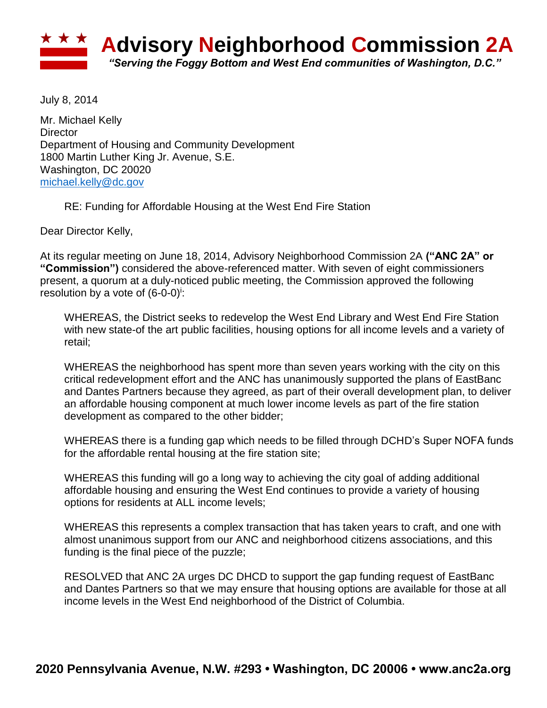

July 8, 2014

Mr. Michael Kelly **Director** Department of Housing and Community Development 1800 Martin Luther King Jr. Avenue, S.E. Washington, DC 20020 [michael.kelly@dc.gov](mailto:michael.kelly@dc.gov)

RE: Funding for Affordable Housing at the West End Fire Station

Dear Director Kelly,

At its regular meeting on June 18, 2014, Advisory Neighborhood Commission 2A **("ANC 2A" or "Commission")** considered the above-referenced matter. With seven of eight commissioners present, a quorum at a duly-noticed public meeting, the Commission approved the following resolution by a vote of (6-0-0)<sup>i</sup>:

WHEREAS, the District seeks to redevelop the West End Library and West End Fire Station with new state-of the art public facilities, housing options for all income levels and a variety of retail;

WHEREAS the neighborhood has spent more than seven years working with the city on this critical redevelopment effort and the ANC has unanimously supported the plans of EastBanc and Dantes Partners because they agreed, as part of their overall development plan, to deliver an affordable housing component at much lower income levels as part of the fire station development as compared to the other bidder;

WHEREAS there is a funding gap which needs to be filled through DCHD's Super NOFA funds for the affordable rental housing at the fire station site;

WHEREAS this funding will go a long way to achieving the city goal of adding additional affordable housing and ensuring the West End continues to provide a variety of housing options for residents at ALL income levels;

WHEREAS this represents a complex transaction that has taken years to craft, and one with almost unanimous support from our ANC and neighborhood citizens associations, and this funding is the final piece of the puzzle;

RESOLVED that ANC 2A urges DC DHCD to support the gap funding request of EastBanc and Dantes Partners so that we may ensure that housing options are available for those at all income levels in the West End neighborhood of the District of Columbia.